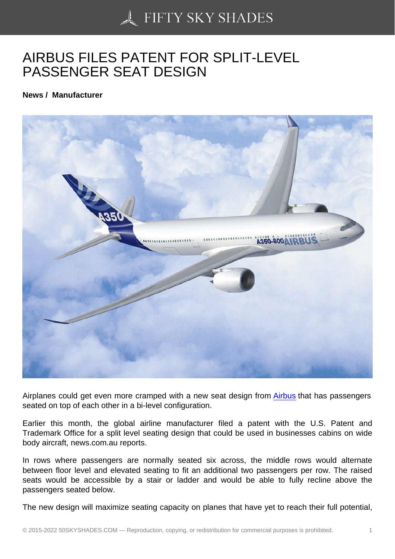## [AIRBUS FILES PATEN](https://50skyshades.com)T FOR SPLIT-LEVEL PASSENGER SEAT DESIGN

News / Manufacturer

Airplanes could get even more cramped with a new seat design from Airbus that has passengers seated on top of each other in a bi-level configuration.

Earlier this month, the global airline manufacturer filed a patent with the U.S. Patent and Trademark Office for a split level seating design that could be used in [busine](http://www.aviatime.com/en/commercial-aviation/commercial-aviation-news/manufacturers)sses cabins on wide body aircraft, news.com.au reports.

In rows where passengers are normally seated six across, the middle rows would alternate between floor level and elevated seating to fit an additional two passengers per row. The raised seats would be accessible by a stair or ladder and would be able to fully recline above the passengers seated below.

The new design will maximize seating capacity on planes that have yet to reach their full potential,